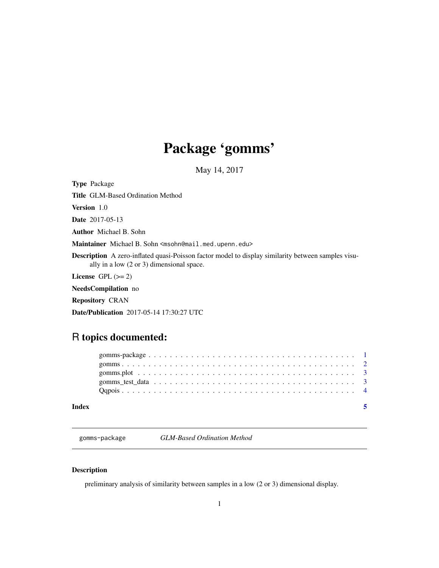## <span id="page-0-0"></span>Package 'gomms'

May 14, 2017

Type Package

Title GLM-Based Ordination Method

Version 1.0

Date 2017-05-13

Author Michael B. Sohn

Maintainer Michael B. Sohn <msohn@mail.med.upenn.edu>

Description A zero-inflated quasi-Poisson factor model to display similarity between samples visually in a low (2 or 3) dimensional space.

License GPL  $(>= 2)$ 

NeedsCompilation no

Repository CRAN

Date/Publication 2017-05-14 17:30:27 UTC

### R topics documented:

| Index |  |
|-------|--|
|       |  |
|       |  |
|       |  |
|       |  |
|       |  |

gomms-package *GLM-Based Ordination Method*

#### Description

preliminary analysis of similarity between samples in a low (2 or 3) dimensional display.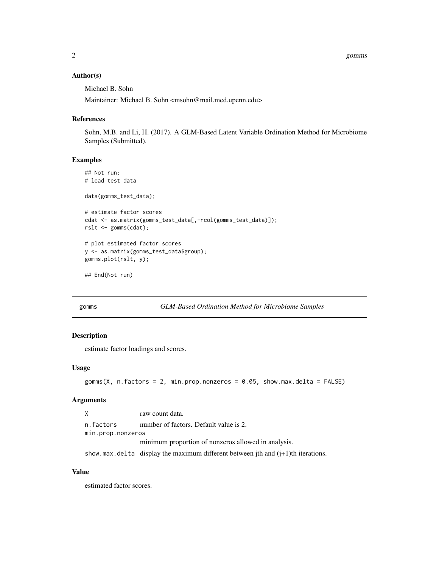#### <span id="page-1-0"></span>Author(s)

Michael B. Sohn

Maintainer: Michael B. Sohn <msohn@mail.med.upenn.edu>

#### References

Sohn, M.B. and Li, H. (2017). A GLM-Based Latent Variable Ordination Method for Microbiome Samples (Submitted).

#### Examples

```
## Not run:
# load test data
data(gomms_test_data);
# estimate factor scores
cdat <- as.matrix(gomms_test_data[,-ncol(gomms_test_data)]);
rslt <- gomms(cdat);
# plot estimated factor scores
y <- as.matrix(gomms_test_data$group);
gomms.plot(rslt, y);
```
## End(Not run)

```
gomms GLM-Based Ordination Method for Microbiome Samples
```
#### Description

estimate factor loadings and scores.

#### Usage

```
gomms(X, n. factors = 2, min.prop.nonzeros = 0.05, show.max.delta = FALSE)
```
#### Arguments

X raw count data. n.factors number of factors. Default value is 2. min.prop.nonzeros minimum proportion of nonzeros allowed in analysis.

show.max.delta display the maximum different between jth and (j+1)th iterations.

#### Value

estimated factor scores.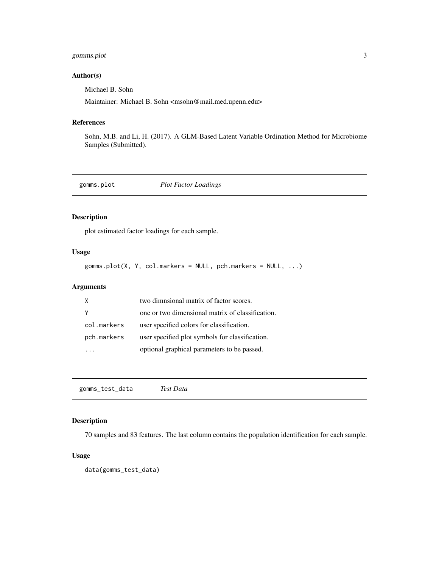#### <span id="page-2-0"></span>gomms.plot 3

#### Author(s)

Michael B. Sohn

Maintainer: Michael B. Sohn <msohn@mail.med.upenn.edu>

#### References

Sohn, M.B. and Li, H. (2017). A GLM-Based Latent Variable Ordination Method for Microbiome Samples (Submitted).

gomms.plot *Plot Factor Loadings*

#### Description

plot estimated factor loadings for each sample.

#### Usage

gomms.plot(X, Y, col.markers = NULL, pch.markers = NULL, ...)

#### Arguments

|             | two dimnsional matrix of factor scores.          |
|-------------|--------------------------------------------------|
|             | one or two dimensional matrix of classification. |
| col.markers | user specified colors for classification.        |
| pch.markers | user specified plot symbols for classification.  |
|             | optional graphical parameters to be passed.      |

gomms\_test\_data *Test Data*

#### Description

70 samples and 83 features. The last column contains the population identification for each sample.

#### Usage

data(gomms\_test\_data)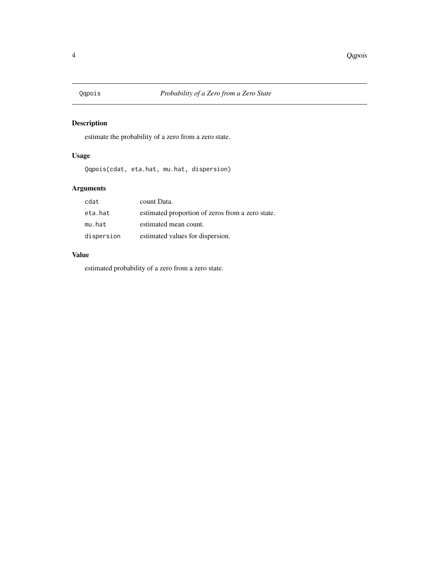<span id="page-3-0"></span>

#### Description

estimate the probability of a zero from a zero state.

#### Usage

```
Qqpois(cdat, eta.hat, mu.hat, dispersion)
```
#### Arguments

| cdat       | count Data.                                      |
|------------|--------------------------------------------------|
| eta.hat    | estimated proportion of zeros from a zero state. |
| mu.hat     | estimated mean count.                            |
| dispersion | estimated values for dispersion.                 |

#### Value

estimated probability of a zero from a zero state.